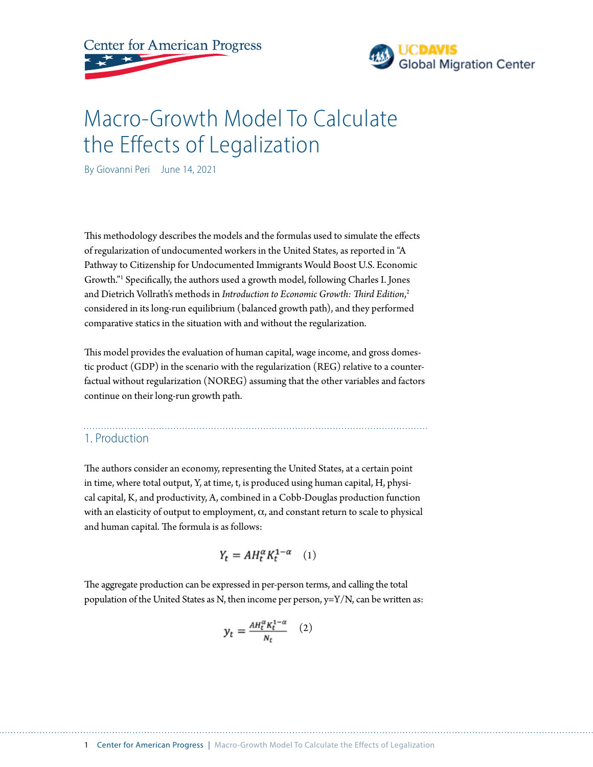



# Macro-Growth Model To Calculate the Effects of Legalization

By Giovanni Peri June 14, 2021

This methodology describes the models and the formulas used to simulate the effects of regularization of undocumented workers in the United States, as reported in "A Pathway to Citizenship for Undocumented Immigrants Would Boost U.S. Economic Growth."1 Specifically, the authors used a growth model, following Charles I. Jones and Dietrich Vollrath's methods in *Introduction to Economic Growth: Third Edition*, 2 considered in its long-run equilibrium (balanced growth path), and they performed comparative statics in the situation with and without the regularization.

This model provides the evaluation of human capital, wage income, and gross domestic product (GDP) in the scenario with the regularization (REG) relative to a counterfactual without regularization (NOREG) assuming that the other variables and factors continue on their long-run growth path.

### 1. Production

The authors consider an economy, representing the United States, at a certain point in time, where total output, Y, at time, t, is produced using human capital, H, physical capital, K, and productivity, A, combined in a Cobb-Douglas production function with an elasticity of output to employment,  $\alpha$ , and constant return to scale to physical and human capital. The formula is as follows:

$$
Y_t = AH_t^{\alpha} K_t^{1-\alpha} \quad (1)
$$

The aggregate production can be expressed in per-person terms, and calling the total population of the United States as N, then income per person, y=Y/N, can be written as:

$$
y_t = \frac{AH_t^{\alpha}K_t^{1-\alpha}}{N_t} \quad (2)
$$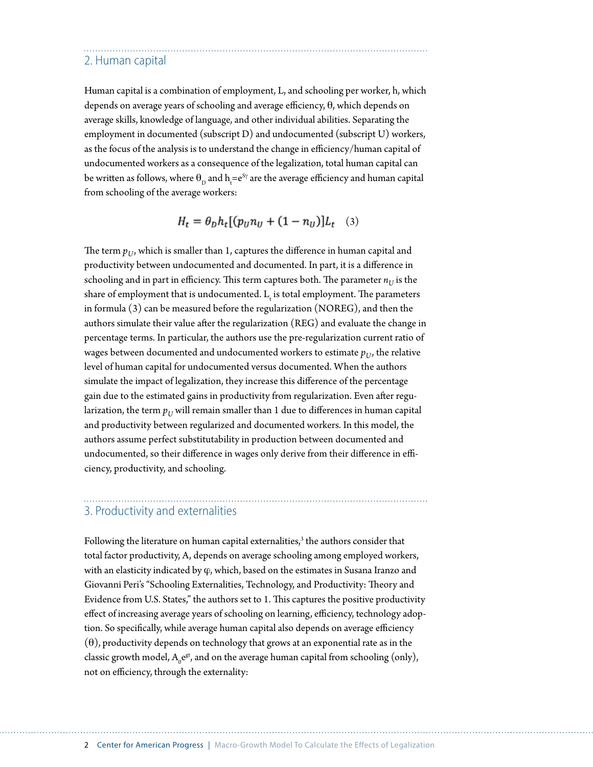#### 2. Human capital

Human capital is a combination of employment, L, and schooling per worker, h, which depends on average years of schooling and average efficiency,  $\theta$ , which depends on average skills, knowledge of language, and other individual abilities. Separating the employment in documented (subscript D) and undocumented (subscript U) workers, as the focus of the analysis is to understand the change in efficiency/human capital of undocumented workers as a consequence of the legalization, total human capital can be written as follows, where  $\theta_{\rm D}$  and  ${\rm h_{t}=e^{S\gamma}}$  are the average efficiency and human capital from schooling of the average workers:

 $H_t = \theta_D h_t [(p_{ij} n_{ij} + (1 - n_{ij})] L_t$  (3)

The term  $p_{IJ}$ , which is smaller than 1, captures the difference in human capital and productivity between undocumented and documented. In part, it is a difference in schooling and in part in efficiency. This term captures both. The parameter  $n_{U}$  is the share of employment that is undocumented.  $L_{\rm t}$  is total employment. The parameters in formula (3) can be measured before the regularization (NOREG), and then the authors simulate their value after the regularization (REG) and evaluate the change in percentage terms. In particular, the authors use the pre-regularization current ratio of wages between documented and undocumented workers to estimate  $p_{IJ}$ , the relative level of human capital for undocumented versus documented. When the authors simulate the impact of legalization, they increase this difference of the percentage gain due to the estimated gains in productivity from regularization. Even after regularization, the term  $p_U$  will remain smaller than 1 due to differences in human capital and productivity between regularized and documented workers. In this model, the authors assume perfect substitutability in production between documented and undocumented, so their difference in wages only derive from their difference in efficiency, productivity, and schooling.

#### 3. Productivity and externalities

Following the literature on human capital externalities,<sup>3</sup> the authors consider that total factor productivity, A, depends on average schooling among employed workers, with an elasticity indicated by  $\varphi$ , which, based on the estimates in Susana Iranzo and Giovanni Peri's "Schooling Externalities, Technology, and Productivity: Theory and Evidence from U.S. States," the authors set to 1. This captures the positive productivity effect of increasing average years of schooling on learning, efficiency, technology adoption. So specifically, while average human capital also depends on average efficiency  $(\theta)$ , productivity depends on technology that grows at an exponential rate as in the classic growth model,  $A_0e^{gt}$ , and on the average human capital from schooling (only), not on efficiency, through the externality: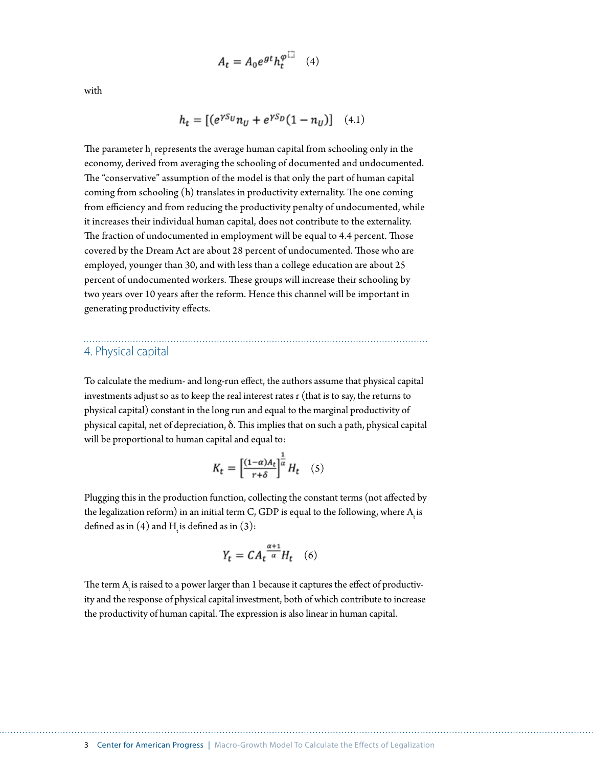$$
A_t = A_0 e^{gt} h_t^{\varphi \Box} \quad (4)
$$

with

$$
h_t = [(e^{\gamma S_U} n_U + e^{\gamma S_D} (1 - n_U)] \quad (4.1)
$$

The parameter  $\boldsymbol{h}_{\text{t}}$  represents the average human capital from schooling only in the economy, derived from averaging the schooling of documented and undocumented. The "conservative" assumption of the model is that only the part of human capital coming from schooling (h) translates in productivity externality. The one coming from efficiency and from reducing the productivity penalty of undocumented, while it increases their individual human capital, does not contribute to the externality. The fraction of undocumented in employment will be equal to 4.4 percent. Those covered by the Dream Act are about 28 percent of undocumented. Those who are employed, younger than 30, and with less than a college education are about 25 percent of undocumented workers. These groups will increase their schooling by two years over 10 years after the reform. Hence this channel will be important in generating productivity effects.

#### 4. Physical capital

To calculate the medium- and long-run effect, the authors assume that physical capital investments adjust so as to keep the real interest rates r (that is to say, the returns to physical capital) constant in the long run and equal to the marginal productivity of physical capital, net of depreciation,  $\delta$ . This implies that on such a path, physical capital will be proportional to human capital and equal to:

$$
K_t = \left[\frac{(1-\alpha)A_t}{r+\delta}\right]^{\frac{1}{\alpha}}H_t \quad (5)
$$

Plugging this in the production function, collecting the constant terms (not affected by the legalization reform) in an initial term C, GDP is equal to the following, where  $\mathrm{A}_\mathrm{t}$  is defined as in (4) and  $H_t$  is defined as in (3):

$$
Y_t = CA_t^{\frac{\alpha+1}{\alpha}} H_t \quad (6)
$$

The term  $\mathrm{A}_\mathrm{t}$  is raised to a power larger than 1 because it captures the effect of productivity and the response of physical capital investment, both of which contribute to increase the productivity of human capital. The expression is also linear in human capital.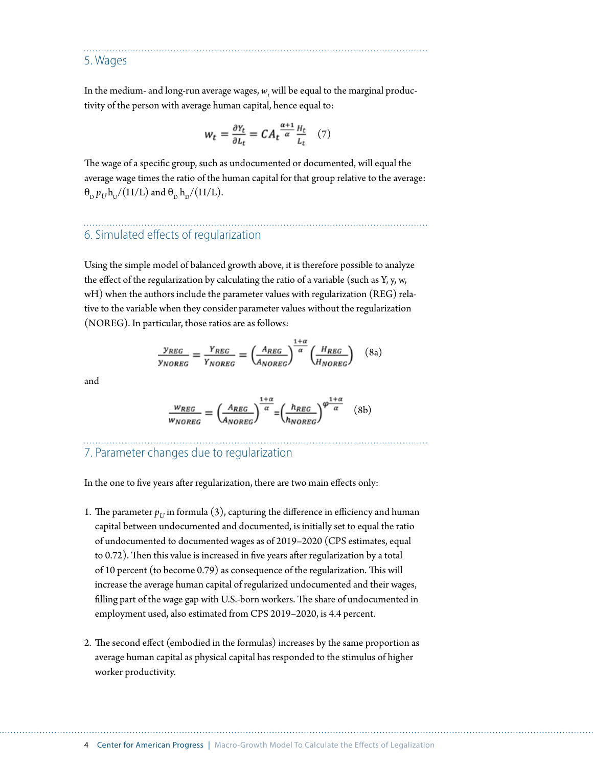5. Wages

In the medium- and long-run average wages,  $w_{_t}$  will be equal to the marginal productivity of the person with average human capital, hence equal to:

$$
w_t = \frac{\partial Y_t}{\partial L_t} = CA_t \frac{\alpha + 1}{\alpha} \frac{H_t}{L_t} \quad (7)
$$

The wage of a specific group, such as undocumented or documented, will equal the average wage times the ratio of the human capital for that group relative to the average:  $\theta_p p_U h_U/(H/L)$  and  $\theta_p h_D/(H/L)$ .

# 6. Simulated effects of regularization

Using the simple model of balanced growth above, it is therefore possible to analyze the effect of the regularization by calculating the ratio of a variable (such as Y, y, w, wH) when the authors include the parameter values with regularization (REG) relative to the variable when they consider parameter values without the regularization (NOREG). In particular, those ratios are as follows:

$$
\frac{y_{REG}}{y_{NOREG}} = \frac{Y_{REG}}{Y_{NOREG}} = \left(\frac{A_{REG}}{A_{NOREG}}\right)^{\frac{1+\alpha}{\alpha}} \left(\frac{H_{REG}}{H_{NOREG}}\right) \quad (8a)
$$

and

$$
\frac{w_{REG}}{w_{NOREG}} = \left(\frac{A_{REG}}{A_{NOREG}}\right)^{\frac{1+\alpha}{\alpha}} = \left(\frac{h_{REG}}{h_{NOREG}}\right)^{\varphi \frac{1+\alpha}{\alpha}} \quad (8b)
$$

### 7. Parameter changes due to regularization

In the one to five years after regularization, there are two main effects only:

- 1. The parameter  $p_{\text{II}}$  in formula (3), capturing the difference in efficiency and human capital between undocumented and documented, is initially set to equal the ratio of undocumented to documented wages as of 2019–2020 (CPS estimates, equal to 0.72). Then this value is increased in five years after regularization by a total of 10 percent (to become 0.79) as consequence of the regularization. This will increase the average human capital of regularized undocumented and their wages, filling part of the wage gap with U.S.-born workers. The share of undocumented in employment used, also estimated from CPS 2019–2020, is 4.4 percent.
- 2. The second effect (embodied in the formulas) increases by the same proportion as average human capital as physical capital has responded to the stimulus of higher worker productivity.

4 Center for American Progress | Macro-Growth Model To Calculate the Effects of Legalization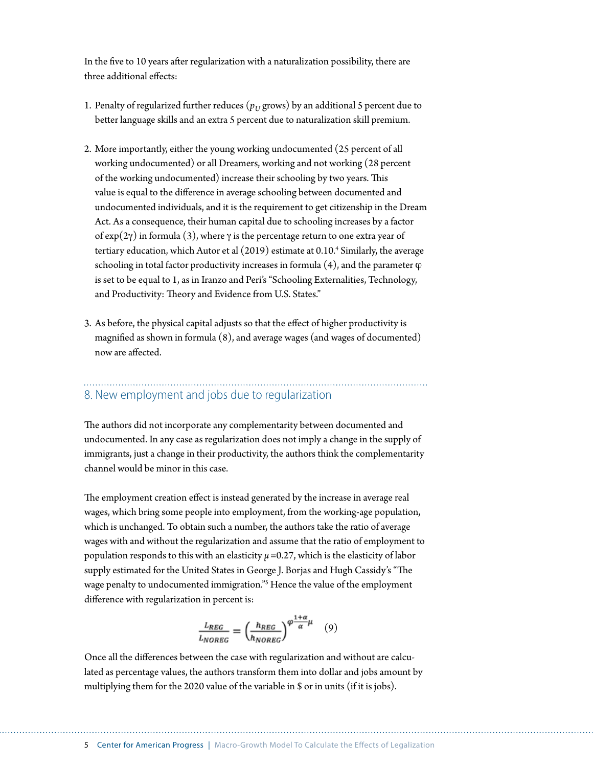In the five to 10 years after regularization with a naturalization possibility, there are three additional effects:

- 1. Penalty of regularized further reduces  $(p_U)$  grows) by an additional 5 percent due to better language skills and an extra 5 percent due to naturalization skill premium.
- 2. More importantly, either the young working undocumented (25 percent of all working undocumented) or all Dreamers, working and not working (28 percent of the working undocumented) increase their schooling by two years. This value is equal to the difference in average schooling between documented and undocumented individuals, and it is the requirement to get citizenship in the Dream Act. As a consequence, their human capital due to schooling increases by a factor of  $\exp(2\gamma)$  in formula (3), where  $\gamma$  is the percentage return to one extra year of tertiary education, which Autor et al (2019) estimate at 0.10.<sup>4</sup> Similarly, the average schooling in total factor productivity increases in formula  $(4)$ , and the parameter  $\varphi$ is set to be equal to 1, as in Iranzo and Peri's "Schooling Externalities, Technology, and Productivity: Theory and Evidence from U.S. States."
- 3. As before, the physical capital adjusts so that the effect of higher productivity is magnified as shown in formula (8), and average wages (and wages of documented) now are affected.

## 8. New employment and jobs due to regularization

The authors did not incorporate any complementarity between documented and undocumented. In any case as regularization does not imply a change in the supply of immigrants, just a change in their productivity, the authors think the complementarity channel would be minor in this case.

The employment creation effect is instead generated by the increase in average real wages, which bring some people into employment, from the working-age population, which is unchanged. To obtain such a number, the authors take the ratio of average wages with and without the regularization and assume that the ratio of employment to population responds to this with an elasticity *μ* =0.27, which is the elasticity of labor supply estimated for the United States in George J. Borjas and Hugh Cassidy's "The wage penalty to undocumented immigration."<sup>5</sup> Hence the value of the employment difference with regularization in percent is:

$$
\frac{L_{REG}}{L_{NOREG}} = \left(\frac{h_{REG}}{h_{NOREG}}\right)^{\varphi \frac{1+\alpha}{\alpha} \mu} \quad (9)
$$

Once all the differences between the case with regularization and without are calculated as percentage values, the authors transform them into dollar and jobs amount by multiplying them for the 2020 value of the variable in \$ or in units (if it is jobs).

#### 5 Center for American Progress | Macro-Growth Model To Calculate the Effects of Legalization